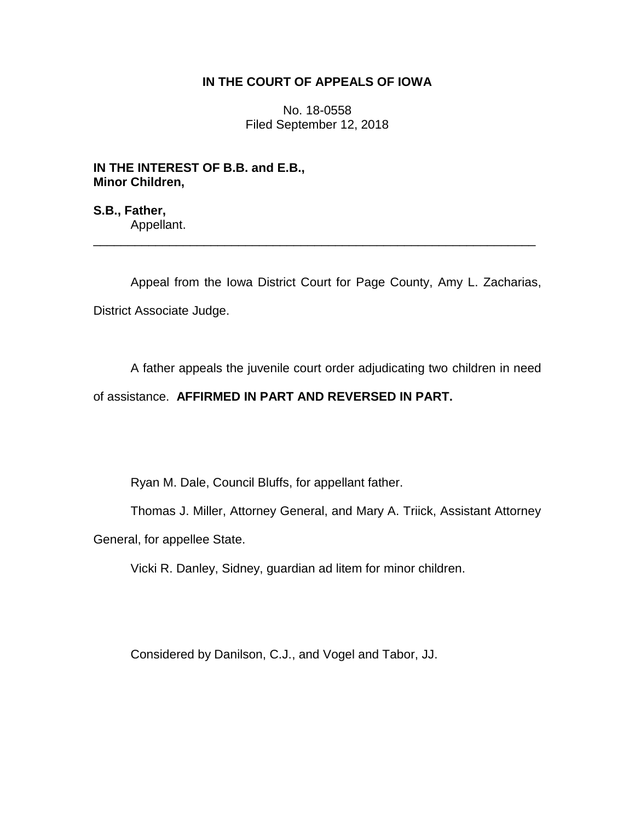### **IN THE COURT OF APPEALS OF IOWA**

No. 18-0558 Filed September 12, 2018

**IN THE INTEREST OF B.B. and E.B., Minor Children,**

**S.B., Father,** Appellant.

Appeal from the Iowa District Court for Page County, Amy L. Zacharias, District Associate Judge.

\_\_\_\_\_\_\_\_\_\_\_\_\_\_\_\_\_\_\_\_\_\_\_\_\_\_\_\_\_\_\_\_\_\_\_\_\_\_\_\_\_\_\_\_\_\_\_\_\_\_\_\_\_\_\_\_\_\_\_\_\_\_\_\_

A father appeals the juvenile court order adjudicating two children in need

# of assistance. **AFFIRMED IN PART AND REVERSED IN PART.**

Ryan M. Dale, Council Bluffs, for appellant father.

Thomas J. Miller, Attorney General, and Mary A. Triick, Assistant Attorney

General, for appellee State.

Vicki R. Danley, Sidney, guardian ad litem for minor children.

Considered by Danilson, C.J., and Vogel and Tabor, JJ.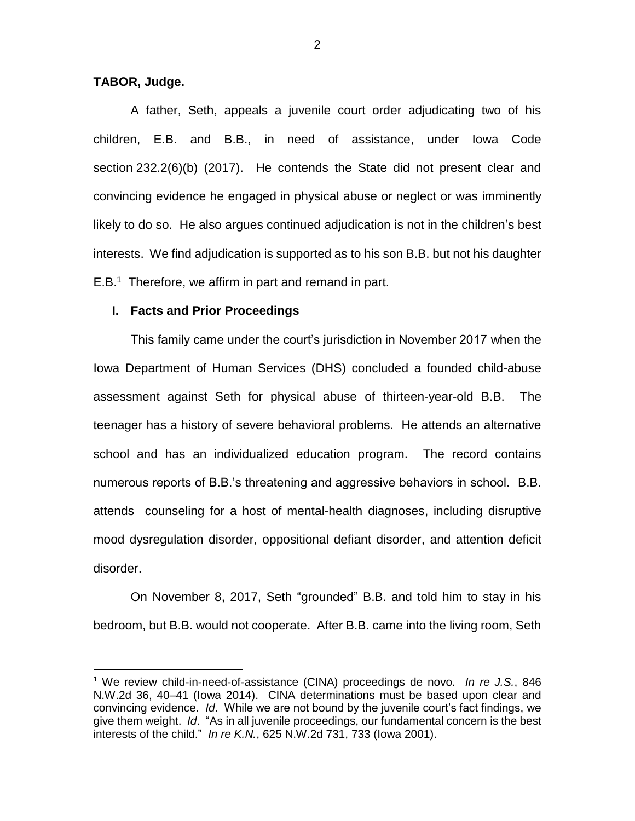#### **TABOR, Judge.**

 $\overline{a}$ 

A father, Seth, appeals a juvenile court order adjudicating two of his children, E.B. and B.B., in need of assistance, under Iowa Code section 232.2(6)(b) (2017). He contends the State did not present clear and convincing evidence he engaged in physical abuse or neglect or was imminently likely to do so. He also argues continued adjudication is not in the children's best interests. We find adjudication is supported as to his son B.B. but not his daughter E.B.<sup>1</sup> Therefore, we affirm in part and remand in part.

#### **I. Facts and Prior Proceedings**

This family came under the court's jurisdiction in November 2017 when the Iowa Department of Human Services (DHS) concluded a founded child-abuse assessment against Seth for physical abuse of thirteen-year-old B.B. The teenager has a history of severe behavioral problems. He attends an alternative school and has an individualized education program. The record contains numerous reports of B.B.'s threatening and aggressive behaviors in school. B.B. attends counseling for a host of mental-health diagnoses, including disruptive mood dysregulation disorder, oppositional defiant disorder, and attention deficit disorder.

On November 8, 2017, Seth "grounded" B.B. and told him to stay in his bedroom, but B.B. would not cooperate. After B.B. came into the living room, Seth

<sup>1</sup> We review child-in-need-of-assistance (CINA) proceedings de novo. *In re J.S.*, 846 N.W.2d 36, 40–41 (Iowa 2014). CINA determinations must be based upon clear and convincing evidence. *Id*. While we are not bound by the juvenile court's fact findings, we give them weight. *Id*. "As in all juvenile proceedings, our fundamental concern is the best interests of the child." *In re K.N.*, 625 N.W.2d 731, 733 (Iowa 2001).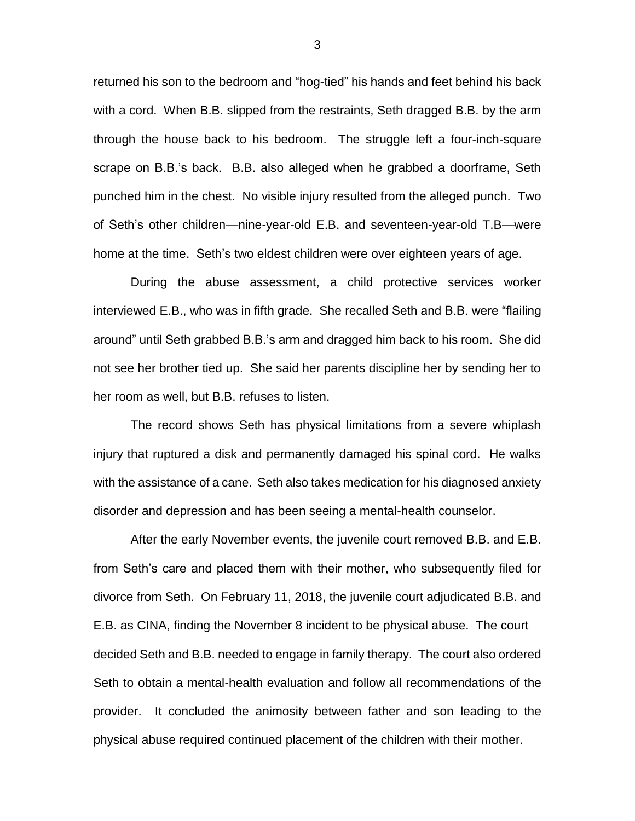returned his son to the bedroom and "hog-tied" his hands and feet behind his back with a cord. When B.B. slipped from the restraints, Seth dragged B.B. by the arm through the house back to his bedroom. The struggle left a four-inch-square scrape on B.B.'s back. B.B. also alleged when he grabbed a doorframe, Seth punched him in the chest. No visible injury resulted from the alleged punch. Two of Seth's other children—nine-year-old E.B. and seventeen-year-old T.B—were home at the time. Seth's two eldest children were over eighteen years of age.

During the abuse assessment, a child protective services worker interviewed E.B., who was in fifth grade. She recalled Seth and B.B. were "flailing around" until Seth grabbed B.B.'s arm and dragged him back to his room. She did not see her brother tied up. She said her parents discipline her by sending her to her room as well, but B.B. refuses to listen.

The record shows Seth has physical limitations from a severe whiplash injury that ruptured a disk and permanently damaged his spinal cord. He walks with the assistance of a cane. Seth also takes medication for his diagnosed anxiety disorder and depression and has been seeing a mental-health counselor.

After the early November events, the juvenile court removed B.B. and E.B. from Seth's care and placed them with their mother, who subsequently filed for divorce from Seth. On February 11, 2018, the juvenile court adjudicated B.B. and E.B. as CINA, finding the November 8 incident to be physical abuse. The court decided Seth and B.B. needed to engage in family therapy. The court also ordered Seth to obtain a mental-health evaluation and follow all recommendations of the provider. It concluded the animosity between father and son leading to the physical abuse required continued placement of the children with their mother.

3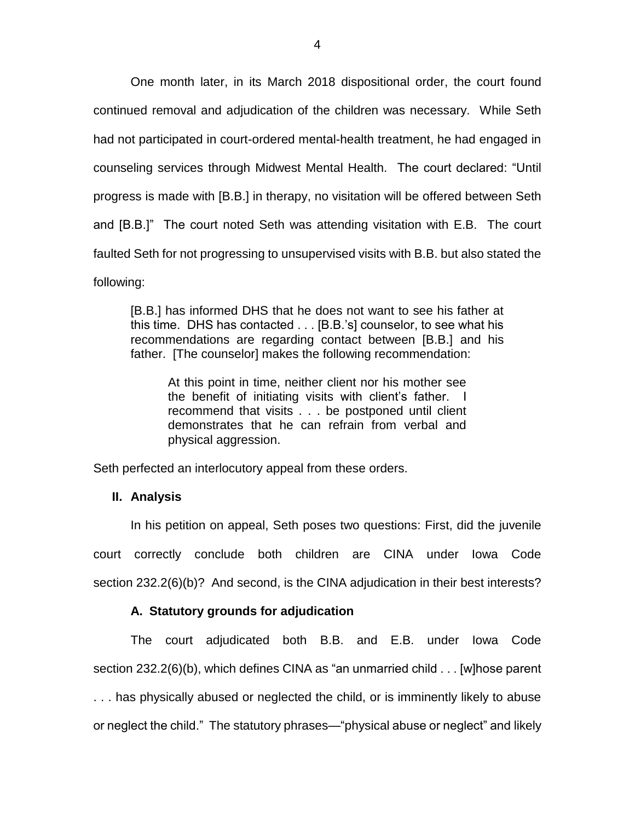One month later, in its March 2018 dispositional order, the court found continued removal and adjudication of the children was necessary. While Seth had not participated in court-ordered mental-health treatment, he had engaged in counseling services through Midwest Mental Health. The court declared: "Until progress is made with [B.B.] in therapy, no visitation will be offered between Seth and [B.B.]" The court noted Seth was attending visitation with E.B. The court faulted Seth for not progressing to unsupervised visits with B.B. but also stated the following:

[B.B.] has informed DHS that he does not want to see his father at this time. DHS has contacted . . . [B.B.'s] counselor, to see what his recommendations are regarding contact between [B.B.] and his father. [The counselor] makes the following recommendation:

At this point in time, neither client nor his mother see the benefit of initiating visits with client's father. I recommend that visits . . . be postponed until client demonstrates that he can refrain from verbal and physical aggression.

Seth perfected an interlocutory appeal from these orders.

# **II. Analysis**

In his petition on appeal, Seth poses two questions: First, did the juvenile court correctly conclude both children are CINA under Iowa Code section 232.2(6)(b)? And second, is the CINA adjudication in their best interests?

# **A. Statutory grounds for adjudication**

The court adjudicated both B.B. and E.B. under Iowa Code section 232.2(6)(b), which defines CINA as "an unmarried child . . . [w]hose parent . . . has physically abused or neglected the child, or is imminently likely to abuse or neglect the child." The statutory phrases—"physical abuse or neglect" and likely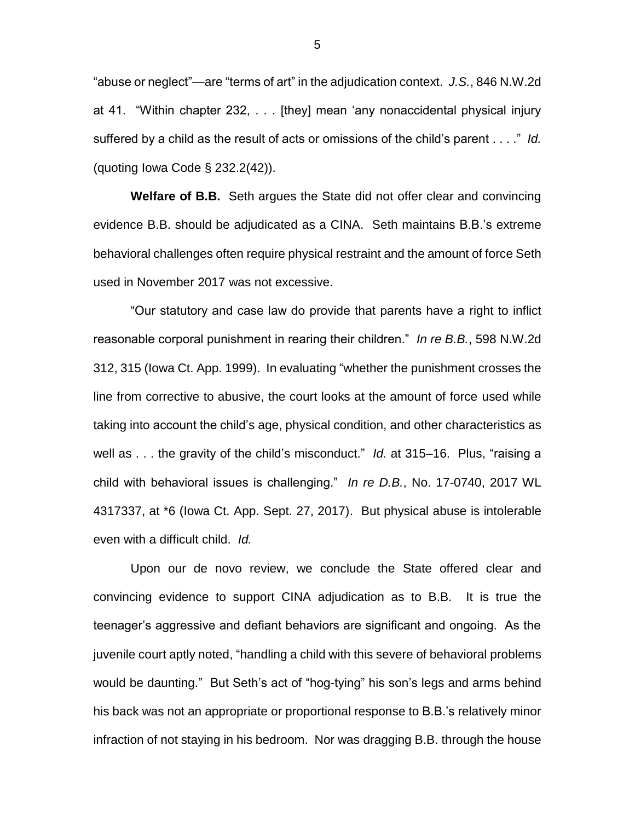"abuse or neglect"—are "terms of art" in the adjudication context. *J.S.*, 846 N.W.2d at 41. "Within chapter 232, . . . [they] mean 'any nonaccidental physical injury suffered by a child as the result of acts or omissions of the child's parent . . . ." *Id.* (quoting Iowa Code § 232.2(42)).

**Welfare of B.B.** Seth argues the State did not offer clear and convincing evidence B.B. should be adjudicated as a CINA. Seth maintains B.B.'s extreme behavioral challenges often require physical restraint and the amount of force Seth used in November 2017 was not excessive.

"Our statutory and case law do provide that parents have a right to inflict reasonable corporal punishment in rearing their children." *In re B.B.*, 598 N.W.2d 312, 315 (Iowa Ct. App. 1999). In evaluating "whether the punishment crosses the line from corrective to abusive, the court looks at the amount of force used while taking into account the child's age, physical condition, and other characteristics as well as . . . the gravity of the child's misconduct." *Id.* at 315–16. Plus, "raising a child with behavioral issues is challenging." *In re D.B.*, No. 17-0740, 2017 WL 4317337, at \*6 (Iowa Ct. App. Sept. 27, 2017). But physical abuse is intolerable even with a difficult child. *Id.*

Upon our de novo review, we conclude the State offered clear and convincing evidence to support CINA adjudication as to B.B. It is true the teenager's aggressive and defiant behaviors are significant and ongoing. As the juvenile court aptly noted, "handling a child with this severe of behavioral problems would be daunting." But Seth's act of "hog-tying" his son's legs and arms behind his back was not an appropriate or proportional response to B.B.'s relatively minor infraction of not staying in his bedroom. Nor was dragging B.B. through the house

5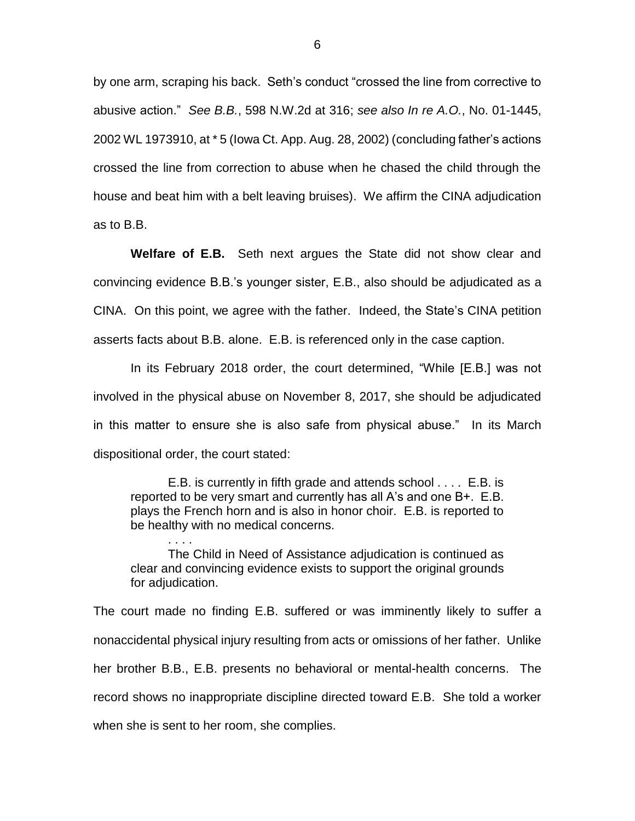by one arm, scraping his back. Seth's conduct "crossed the line from corrective to abusive action." *See B.B.*, 598 N.W.2d at 316; *see also In re A.O.*, No. 01-1445, 2002 WL 1973910, at \* 5 (Iowa Ct. App. Aug. 28, 2002) (concluding father's actions crossed the line from correction to abuse when he chased the child through the house and beat him with a belt leaving bruises). We affirm the CINA adjudication as to B.B.

**Welfare of E.B.** Seth next argues the State did not show clear and convincing evidence B.B.'s younger sister, E.B., also should be adjudicated as a CINA. On this point, we agree with the father. Indeed, the State's CINA petition asserts facts about B.B. alone. E.B. is referenced only in the case caption.

In its February 2018 order, the court determined, "While [E.B.] was not involved in the physical abuse on November 8, 2017, she should be adjudicated in this matter to ensure she is also safe from physical abuse." In its March dispositional order, the court stated:

E.B. is currently in fifth grade and attends school . . . . E.B. is reported to be very smart and currently has all A's and one B+. E.B. plays the French horn and is also in honor choir. E.B. is reported to be healthy with no medical concerns.

. . . . The Child in Need of Assistance adjudication is continued as clear and convincing evidence exists to support the original grounds for adjudication.

The court made no finding E.B. suffered or was imminently likely to suffer a nonaccidental physical injury resulting from acts or omissions of her father. Unlike her brother B.B., E.B. presents no behavioral or mental-health concerns. The record shows no inappropriate discipline directed toward E.B. She told a worker when she is sent to her room, she complies.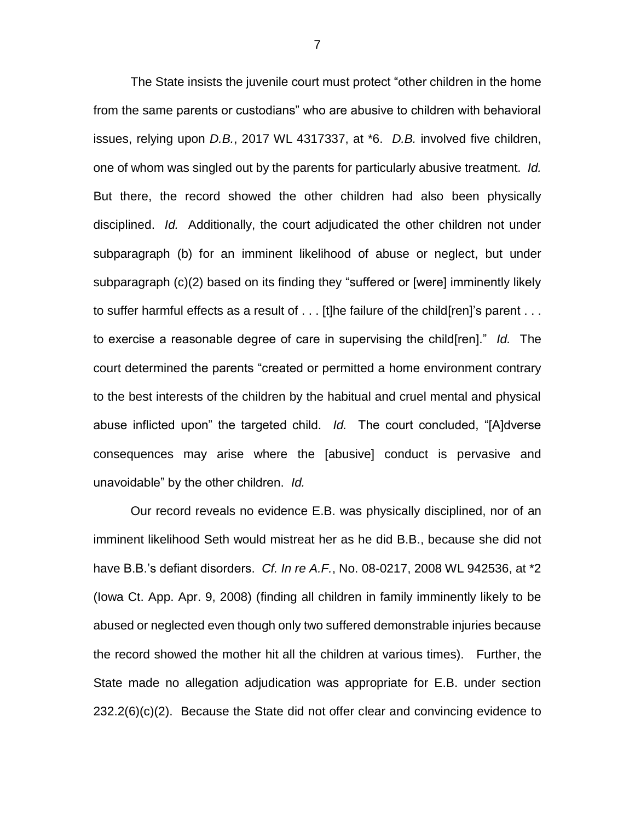The State insists the juvenile court must protect "other children in the home from the same parents or custodians" who are abusive to children with behavioral issues, relying upon *D.B.*, 2017 WL 4317337, at \*6. *D.B.* involved five children, one of whom was singled out by the parents for particularly abusive treatment. *Id.* But there, the record showed the other children had also been physically disciplined. *Id.* Additionally, the court adjudicated the other children not under subparagraph (b) for an imminent likelihood of abuse or neglect, but under subparagraph (c)(2) based on its finding they "suffered or [were] imminently likely to suffer harmful effects as a result of . . . [t]he failure of the child[ren]'s parent . . . to exercise a reasonable degree of care in supervising the child[ren]." *Id.* The court determined the parents "created or permitted a home environment contrary to the best interests of the children by the habitual and cruel mental and physical abuse inflicted upon" the targeted child. *Id.* The court concluded, "[A]dverse consequences may arise where the [abusive] conduct is pervasive and unavoidable" by the other children. *Id.*

Our record reveals no evidence E.B. was physically disciplined, nor of an imminent likelihood Seth would mistreat her as he did B.B., because she did not have B.B.'s defiant disorders. *Cf. In re A.F.*, No. 08-0217, 2008 WL 942536, at \*2 (Iowa Ct. App. Apr. 9, 2008) (finding all children in family imminently likely to be abused or neglected even though only two suffered demonstrable injuries because the record showed the mother hit all the children at various times). Further, the State made no allegation adjudication was appropriate for E.B. under section 232.2(6)(c)(2). Because the State did not offer clear and convincing evidence to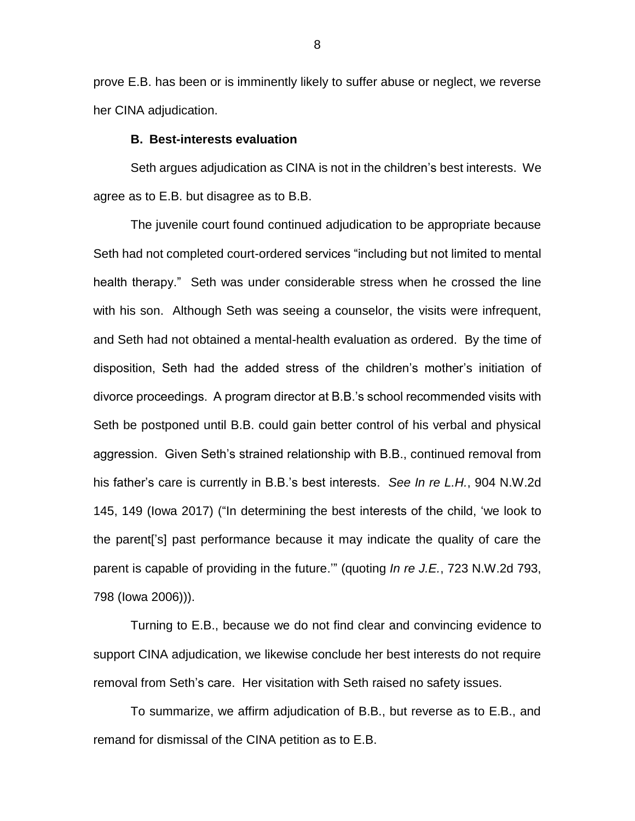prove E.B. has been or is imminently likely to suffer abuse or neglect, we reverse her CINA adjudication.

#### **B. Best-interests evaluation**

Seth argues adjudication as CINA is not in the children's best interests. We agree as to E.B. but disagree as to B.B.

The juvenile court found continued adjudication to be appropriate because Seth had not completed court-ordered services "including but not limited to mental health therapy." Seth was under considerable stress when he crossed the line with his son. Although Seth was seeing a counselor, the visits were infrequent, and Seth had not obtained a mental-health evaluation as ordered. By the time of disposition, Seth had the added stress of the children's mother's initiation of divorce proceedings. A program director at B.B.'s school recommended visits with Seth be postponed until B.B. could gain better control of his verbal and physical aggression. Given Seth's strained relationship with B.B., continued removal from his father's care is currently in B.B.'s best interests. *See In re L.H.*, 904 N.W.2d 145, 149 (Iowa 2017) ("In determining the best interests of the child, 'we look to the parent['s] past performance because it may indicate the quality of care the parent is capable of providing in the future.'" (quoting *In re J.E.*, 723 N.W.2d 793, 798 (Iowa 2006))).

Turning to E.B., because we do not find clear and convincing evidence to support CINA adjudication, we likewise conclude her best interests do not require removal from Seth's care. Her visitation with Seth raised no safety issues.

To summarize, we affirm adjudication of B.B., but reverse as to E.B., and remand for dismissal of the CINA petition as to E.B.

8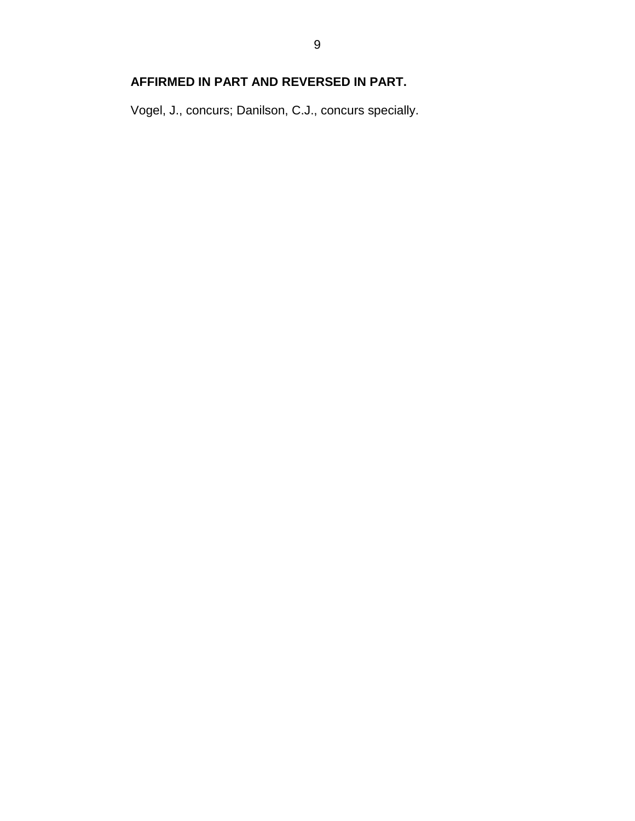# **AFFIRMED IN PART AND REVERSED IN PART.**

Vogel, J., concurs; Danilson, C.J., concurs specially.